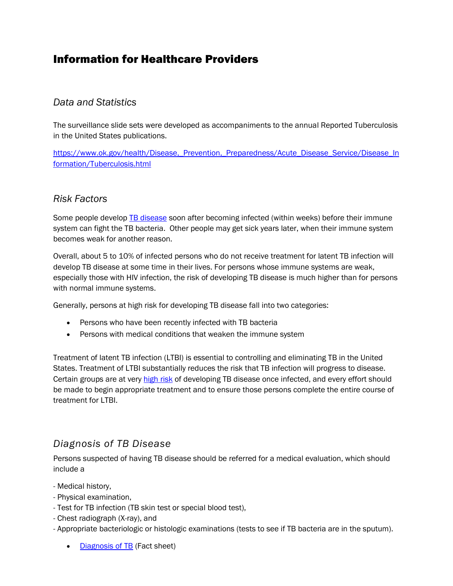# Information for Healthcare Providers

## *Data and Statistics*

The surveillance slide sets were developed as accompaniments to the annual Reported Tuberculosis in the United States publications.

https://www.ok.gov/health/Disease, Prevention, Preparedness/Acute Disease Service/Disease In [formation/Tuberculosis.html](https://www.ok.gov/health/Disease,_Prevention,_Preparedness/Acute_Disease_Service/Disease_Information/Tuberculosis.html)

# *Risk Factors*

Some people develop **TB** disease soon after becoming infected (within weeks) before their immune system can fight the TB bacteria. Other people may get sick years later, when their immune system becomes weak for another reason.

Overall, about 5 to 10% of infected persons who do not receive treatment for latent TB infection will develop TB disease at some time in their lives. For persons whose immune systems are weak, especially those with HIV infection, the risk of developing TB disease is much higher than for persons with normal immune systems.

Generally, persons at high risk for developing TB disease fall into two categories:

- Persons who have been recently infected with TB bacteria
- Persons with medical conditions that weaken the immune system

Treatment of latent TB infection (LTBI) is essential to controlling and eliminating TB in the United States. Treatment of LTBI substantially reduces the risk that TB infection will progress to disease. Certain groups are at very [high risk](http://www.cdc.gov/tb/topic/basics/risk.htm) of developing TB disease once infected, and every effort should be made to begin appropriate treatment and to ensure those persons complete the entire course of treatment for LTBI.

# *Diagnosis of TB Disease*

Persons suspected of having TB disease should be referred for a medical evaluation, which should include a

- Medical history,
- Physical examination,
- Test for TB infection (TB skin test or special blood test),
- Chest radiograph (X-ray), and
- Appropriate bacteriologic or histologic examinations (tests to see if TB bacteria are in the sputum).
	- [Diagnosis of TB](http://www.cdc.gov/tb/publications/factsheets/testing/diagnosis.htm) (Fact sheet)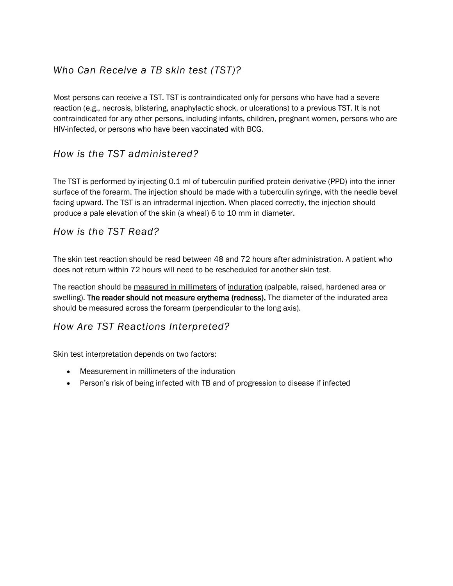# *Who Can Receive a TB skin test (TST)?*

Most persons can receive a TST. TST is contraindicated only for persons who have had a severe reaction (e.g., necrosis, blistering, anaphylactic shock, or ulcerations) to a previous TST. It is not contraindicated for any other persons, including infants, children, pregnant women, persons who are HIV-infected, or persons who have been vaccinated with BCG.

# *How is the TST administered?*

The TST is performed by injecting 0.1 ml of tuberculin purified protein derivative (PPD) into the inner surface of the forearm. The injection should be made with a tuberculin syringe, with the needle bevel facing upward. The TST is an intradermal injection. When placed correctly, the injection should produce a pale elevation of the skin (a wheal) 6 to 10 mm in diameter.

## *How is the TST Read?*

The skin test reaction should be read between 48 and 72 hours after administration. A patient who does not return within 72 hours will need to be rescheduled for another skin test.

The reaction should be measured in millimeters of induration (palpable, raised, hardened area or swelling). The reader should not measure erythema (redness). The diameter of the indurated area should be measured across the forearm (perpendicular to the long axis).

# *How Are TST Reactions Interpreted?*

Skin test interpretation depends on two factors:

- Measurement in millimeters of the induration
- Person's risk of being infected with TB and of progression to disease if infected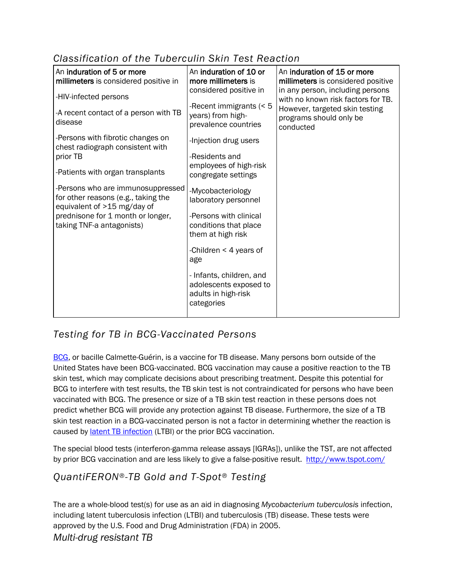# *Classification of the Tuberculin Skin Test Reaction*

| An induration of 5 or more<br>millimeters is considered positive in                                                                                                       | An induration of 10 or<br>more millimeters is                                           | An induration of 15 or more<br>millimeters is considered positive      |
|---------------------------------------------------------------------------------------------------------------------------------------------------------------------------|-----------------------------------------------------------------------------------------|------------------------------------------------------------------------|
| -HIV-infected persons                                                                                                                                                     | considered positive in                                                                  | in any person, including persons<br>with no known risk factors for TB. |
| -A recent contact of a person with TB<br>disease                                                                                                                          | -Recent immigrants (< 5<br>years) from high-<br>prevalence countries                    | However, targeted skin testing<br>programs should only be<br>conducted |
| -Persons with fibrotic changes on<br>chest radiograph consistent with                                                                                                     | -Injection drug users                                                                   |                                                                        |
| prior TB                                                                                                                                                                  | -Residents and                                                                          |                                                                        |
| -Patients with organ transplants                                                                                                                                          | employees of high-risk<br>congregate settings                                           |                                                                        |
| -Persons who are immunosuppressed<br>for other reasons (e.g., taking the<br>equivalent of >15 mg/day of<br>prednisone for 1 month or longer,<br>taking TNF-a antagonists) | -Mycobacteriology<br>laboratory personnel                                               |                                                                        |
|                                                                                                                                                                           | -Persons with clinical<br>conditions that place<br>them at high risk                    |                                                                        |
|                                                                                                                                                                           | -Children $\leq 4$ years of<br>age                                                      |                                                                        |
|                                                                                                                                                                           | - Infants, children, and<br>adolescents exposed to<br>adults in high-risk<br>categories |                                                                        |

# *Testing for TB in BCG-Vaccinated Persons*

[BCG,](http://www.cdc.gov/tb/topic/vaccines/default.htm) or bacille Calmette-Guérin, is a vaccine for TB disease. Many persons born outside of the United States have been BCG-vaccinated. BCG vaccination may cause a positive reaction to the TB skin test, which may complicate decisions about prescribing treatment. Despite this potential for BCG to interfere with test results, the TB skin test is not contraindicated for persons who have been vaccinated with BCG. The presence or size of a TB skin test reaction in these persons does not predict whether BCG will provide any protection against TB disease. Furthermore, the size of a TB skin test reaction in a BCG-vaccinated person is not a factor in determining whether the reaction is caused by **latent TB** infection (LTBI) or the prior BCG vaccination.

The special blood tests (interferon-gamma release assays [IGRAs]), unlike the TST, are not affected by prior BCG vaccination and are less likely to give a false-positive result.<http://www.tspot.com/>

# *QuantiFERON®-TB Gold and T-Spot® Testing*

The are a whole-blood test(s) for use as an aid in diagnosing *Mycobacterium tuberculosis* infection, including latent tuberculosis infection (LTBI) and tuberculosis (TB) disease. These tests were approved by the U.S. Food and Drug Administration (FDA) in 2005.

*Multi-drug resistant TB*